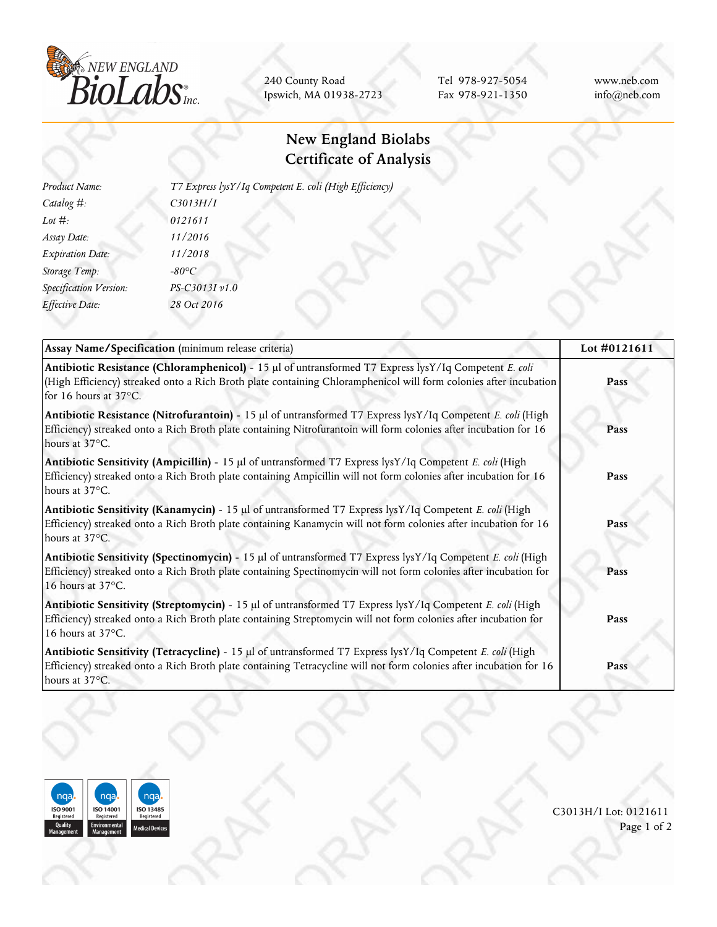

240 County Road Ipswich, MA 01938-2723

Tel 978-927-5054 Fax 978-921-1350 www.neb.com info@neb.com

## **New England Biolabs Certificate of Analysis**

| Product Name:           | T7 Express lysY/Iq Competent E. coli (High Efficiency) |  |  |
|-------------------------|--------------------------------------------------------|--|--|
| Catalog $#$ :           | C3013H/I                                               |  |  |
| Lot $#$ :               | 0121611                                                |  |  |
| Assay Date:             | 11/2016                                                |  |  |
| <b>Expiration Date:</b> | 11/2018                                                |  |  |
| Storage Temp:           | $-80^{\circ}C$                                         |  |  |
| Specification Version:  | PS-C3013I v1.0                                         |  |  |
| Effective Date:         | 28 Oct 2016                                            |  |  |
|                         |                                                        |  |  |

| Assay Name/Specification (minimum release criteria)                                                                                                                                                                                                  | Lot #0121611 |
|------------------------------------------------------------------------------------------------------------------------------------------------------------------------------------------------------------------------------------------------------|--------------|
| Antibiotic Resistance (Chloramphenicol) - 15 µl of untransformed T7 Express lysY/Iq Competent E. coli<br>(High Efficiency) streaked onto a Rich Broth plate containing Chloramphenicol will form colonies after incubation<br>for 16 hours at 37°C.  | Pass         |
| Antibiotic Resistance (Nitrofurantoin) - 15 µl of untransformed T7 Express lysY/Iq Competent E. coli (High<br>Efficiency) streaked onto a Rich Broth plate containing Nitrofurantoin will form colonies after incubation for 16<br>hours at 37°C.    | Pass         |
| Antibiotic Sensitivity (Ampicillin) - 15 µl of untransformed T7 Express lysY/Iq Competent E. coli (High<br>Efficiency) streaked onto a Rich Broth plate containing Ampicillin will not form colonies after incubation for 16<br>hours at 37°C.       | Pass         |
| Antibiotic Sensitivity (Kanamycin) - 15 µl of untransformed T7 Express lysY/Iq Competent E. coli (High<br>Efficiency) streaked onto a Rich Broth plate containing Kanamycin will not form colonies after incubation for 16<br>hours at 37°C.         | Pass         |
| Antibiotic Sensitivity (Spectinomycin) - 15 µl of untransformed T7 Express lysY/Iq Competent E. coli (High<br>Efficiency) streaked onto a Rich Broth plate containing Spectinomycin will not form colonies after incubation for<br>16 hours at 37°C. | Pass         |
| Antibiotic Sensitivity (Streptomycin) - 15 µl of untransformed T7 Express lysY/Iq Competent E. coli (High<br>Efficiency) streaked onto a Rich Broth plate containing Streptomycin will not form colonies after incubation for<br>16 hours at 37°C.   | Pass         |
| Antibiotic Sensitivity (Tetracycline) - 15 µl of untransformed T7 Express lysY/Iq Competent E. coli (High<br>Efficiency) streaked onto a Rich Broth plate containing Tetracycline will not form colonies after incubation for 16<br>hours at 37°C.   | Pass         |



C3013H/I Lot: 0121611 Page 1 of 2